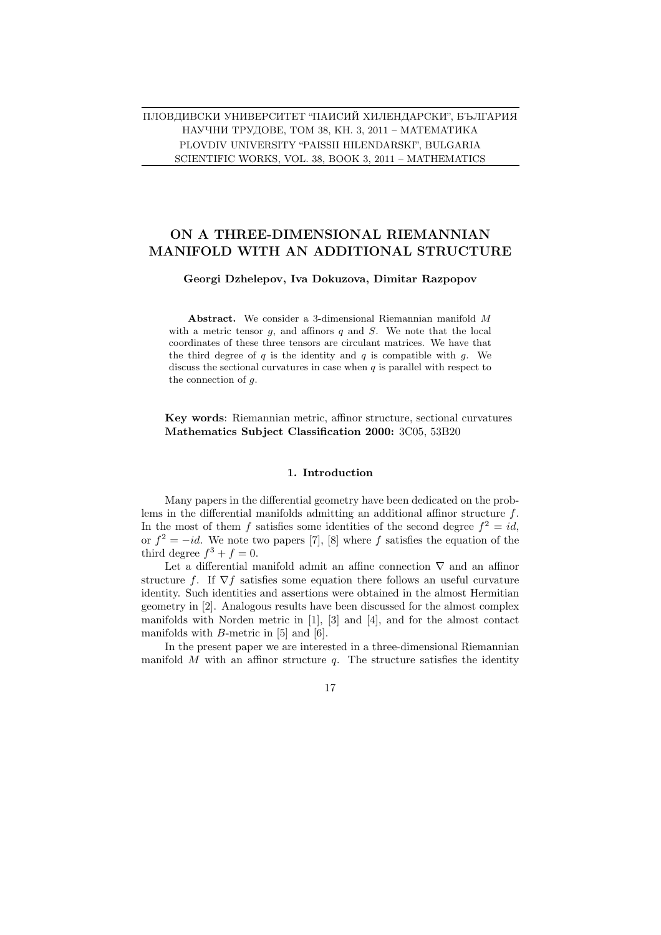PLOVDIV UNIVERSITY "PAISSII HILENDARSKI", BULGARIA SCIENTIFIC WORKS, VOL. 38, BOOK 3, 2011 – MATHEMATICS ПЛОВДИВСКИ УНИВЕРСИТЕТ "ПАИСИЙ ХИЛЕНДАРСКИ", БЪЛГАРИЯ НАУЧНИ ТРУДОВЕ, ТОМ 38, КН. 3, 2011 – МАТЕМАТИКА

# ON A THREE-DIMENSIONAL RIEMANNIAN MANIFOLD WITH AN ADDITIONAL STRUCTURE

## Georgi Dzhelepov, Iva Dokuzova, Dimitar Razpopov

Abstract. We consider a 3-dimensional Riemannian manifold M with a metric tensor  $q$ , and affinors  $q$  and  $S$ . We note that the local coordinates of these three tensors are circulant matrices. We have that the third degree of q is the identity and q is compatible with q. We discuss the sectional curvatures in case when  $q$  is parallel with respect to the connection of g.

Key words: Riemannian metric, affinor structure, sectional curvatures Mathematics Subject Classification 2000: 3C05, 53B20

#### 1. Introduction

Many papers in the differential geometry have been dedicated on the problems in the differential manifolds admitting an additional affinor structure f. In the most of them f satisfies some identities of the second degree  $f^2 = id$ , or  $f^2 = -id$ . We note two papers [7], [8] where f satisfies the equation of the third degree  $f^3 + f = 0$ .

Let a differential manifold admit an affine connection  $\nabla$  and an affinor structure f. If  $\nabla f$  satisfies some equation there follows an useful curvature identity. Such identities and assertions were obtained in the almost Hermitian geometry in [2]. Analogous results have been discussed for the almost complex manifolds with Norden metric in [1], [3] and [4], and for the almost contact manifolds with  $B$ -metric in [5] and [6].

In the present paper we are interested in a three-dimensional Riemannian manifold  $M$  with an affinor structure  $q$ . The structure satisfies the identity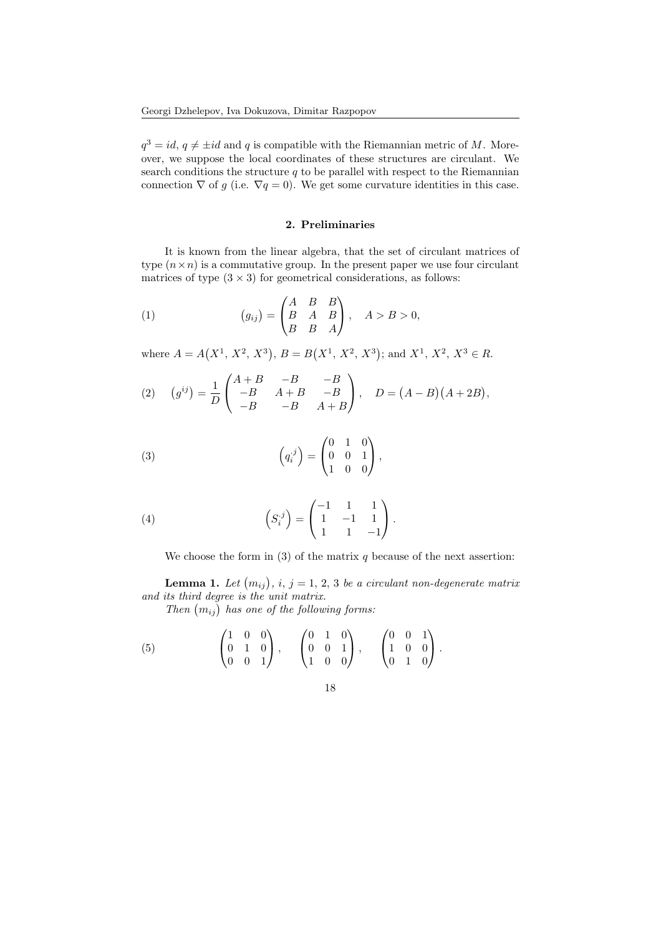$q^3 = id, q \neq \pm id$  and q is compatible with the Riemannian metric of M. Moreover, we suppose the local coordinates of these structures are circulant. We search conditions the structure  $q$  to be parallel with respect to the Riemannian connection  $\nabla$  of g (i.e.  $\nabla q = 0$ ). We get some curvature identities in this case.

## 2. Preliminaries

It is known from the linear algebra, that the set of circulant matrices of type  $(n \times n)$  is a commutative group. In the present paper we use four circulant matrices of type  $(3 \times 3)$  for geometrical considerations, as follows:

(1) 
$$
(g_{ij}) = \begin{pmatrix} A & B & B \\ B & A & B \\ B & B & A \end{pmatrix}, \quad A > B > 0,
$$

where  $A = A$  $(X^1, X^2, X^3)$  $, B = B$  $(X^1, X^2, X^3)$ ; and  $X^1, X^2, X^3 \in R$ .

(2) 
$$
(g^{ij}) = \frac{1}{D} \begin{pmatrix} A+B & -B & -B \\ -B & A+B & -B \\ -B & -B & A+B \end{pmatrix}, \quad D = (A-B)(A+2B),
$$

(3) 
$$
\left(q_i^j\right) = \begin{pmatrix} 0 & 1 & 0 \\ 0 & 0 & 1 \\ 1 & 0 & 0 \end{pmatrix},
$$

(4) 
$$
\left(S_i^{\cdot j}\right) = \begin{pmatrix} -1 & 1 & 1 \\ 1 & -1 & 1 \\ 1 & 1 & -1 \end{pmatrix}.
$$

We choose the form in (3) of the matrix  $q$  because of the next assertion:

**Lemma 1.** Let  $(m_{ij})$ , i, j = 1, 2, 3 be a circulant non-degenerate matrix and its third degree is the unit matrix.

tts third degree is the unit matrix.<br>Then  $(m_{ij})$  has one of the following forms:

(5) 
$$
\begin{pmatrix} 1 & 0 & 0 \\ 0 & 1 & 0 \\ 0 & 0 & 1 \end{pmatrix}
$$
,  $\begin{pmatrix} 0 & 1 & 0 \\ 0 & 0 & 1 \\ 1 & 0 & 0 \end{pmatrix}$ ,  $\begin{pmatrix} 0 & 0 & 1 \\ 1 & 0 & 0 \\ 0 & 1 & 0 \end{pmatrix}$ .

$$
18 \\
$$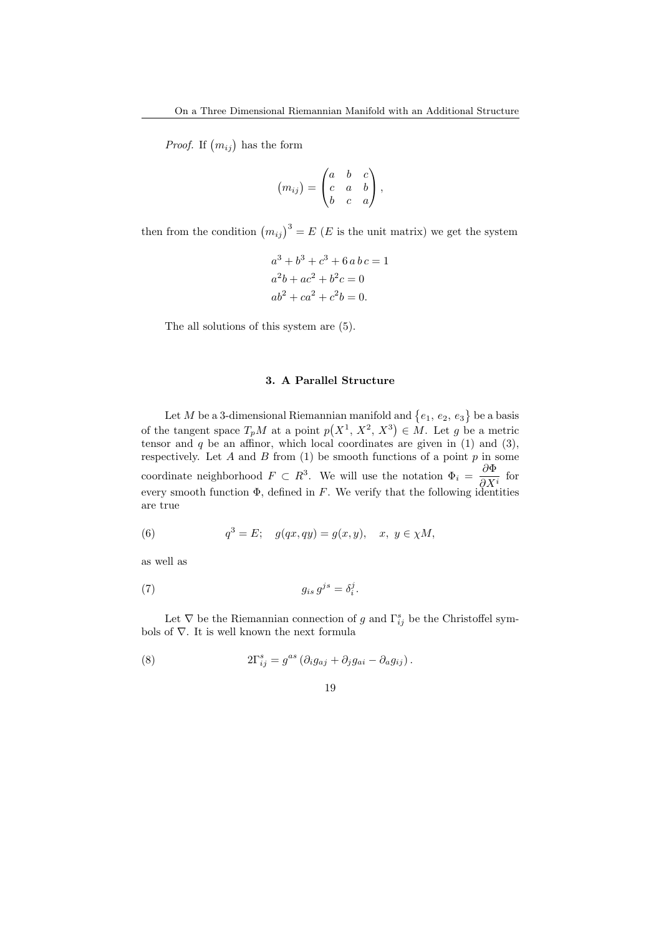*Proof.* If  $(m_{ij})$  has the form

$$
(m_{ij}) = \begin{pmatrix} a & b & c \\ c & a & b \\ b & c & a \end{pmatrix},
$$

then from the condition  $(m_{ij})^3 = E(E)$  is the unit matrix) we get the system

$$
a3 + b3 + c3 + 6 a b c = 1
$$
  

$$
a2b + ac2 + b2c = 0
$$
  

$$
ab2 + ca2 + c2b = 0.
$$

The all solutions of this system are (5).

#### 3. A Parallel Structure

Let  $M$  be a 3-dimensional Riemannian manifold and  $\{e_1, e_2, e_3\}$ ª be a basis of the tangent space  $T_pM$  at a point p  $(X^1, X^2, X^3)$  $\in M$ . Let g be a metric tensor and  $q$  be an affinor, which local coordinates are given in (1) and (3), respectively. Let  $A$  and  $B$  from (1) be smooth functions of a point  $p$  in some coordinate neighborhood  $F \subset R^3$ . We will use the notation  $\Phi_i = \frac{\partial \Phi}{\partial x_i}$  $\frac{\partial \mathbf{r}}{\partial X^i}$  for every smooth function  $\Phi$ , defined in F. We verify that the following identities are true

(6) 
$$
q^3 = E
$$
;  $g(qx, qy) = g(x, y), x, y \in \chi M$ ,

as well as

$$
(7) \t\t g_{is} g^{js} = \delta_i^j.
$$

Let  $\nabla$  be the Riemannian connection of g and  $\Gamma_{ij}^s$  be the Christoffel symbols of  $\nabla.$  It is well known the next formula

(8) 
$$
2\Gamma_{ij}^s = g^{as} \left( \partial_i g_{aj} + \partial_j g_{ai} - \partial_a g_{ij} \right).
$$

$$
19\quad
$$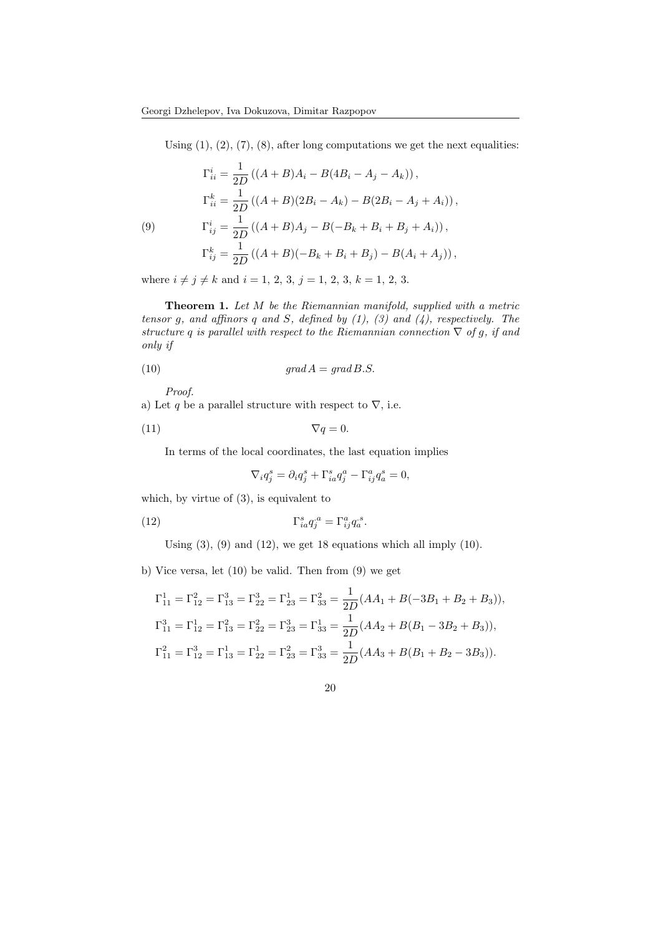Using  $(1)$ ,  $(2)$ ,  $(7)$ ,  $(8)$ , after long computations we get the next equalities:

(9)  
\n
$$
\Gamma_{ii}^{i} = \frac{1}{2D} ((A + B)A_{i} - B(4B_{i} - A_{j} - A_{k})),
$$
\n
$$
\Gamma_{ii}^{k} = \frac{1}{2D} ((A + B)(2B_{i} - A_{k}) - B(2B_{i} - A_{j} + A_{i})),
$$
\n
$$
\Gamma_{ij}^{i} = \frac{1}{2D} ((A + B)A_{j} - B(-B_{k} + B_{i} + B_{j} + A_{i})),
$$
\n
$$
\Gamma_{ij}^{k} = \frac{1}{2D} ((A + B)(-B_{k} + B_{i} + B_{j}) - B(A_{i} + A_{j})),
$$

where  $i \neq j \neq k$  and  $i = 1, 2, 3, j = 1, 2, 3, k = 1, 2, 3$ .

Theorem 1. Let M be the Riemannian manifold, supplied with a metric tensor g, and affinors q and S, defined by  $(1)$ ,  $(3)$  and  $(4)$ , respectively. The structure q is parallel with respect to the Riemannian connection  $\nabla$  of g, if and only if

$$
(10) \t grad A = grad B.S.
$$

Proof.

a) Let q be a parallel structure with respect to  $\nabla$ , i.e.

$$
\nabla q = 0.
$$

In terms of the local coordinates, the last equation implies

$$
\nabla_i q_j^s = \partial_i q_j^s + \Gamma_{ia}^s q_j^a - \Gamma_{ij}^a q_a^s = 0,
$$

which, by virtue of (3), is equivalent to

(12) 
$$
\Gamma_{ia}^s q_j^{\ a} = \Gamma_{ij}^a q_a^{\ a}.
$$

Using  $(3)$ ,  $(9)$  and  $(12)$ , we get 18 equations which all imply  $(10)$ .

b) Vice versa, let (10) be valid. Then from (9) we get

$$
\Gamma_{11}^{1} = \Gamma_{12}^{2} = \Gamma_{13}^{3} = \Gamma_{22}^{3} = \Gamma_{23}^{1} = \Gamma_{33}^{2} = \frac{1}{2D}(AA_{1} + B(-3B_{1} + B_{2} + B_{3})),
$$
  
\n
$$
\Gamma_{11}^{3} = \Gamma_{12}^{1} = \Gamma_{13}^{2} = \Gamma_{22}^{2} = \Gamma_{23}^{3} = \Gamma_{33}^{1} = \frac{1}{2D}(AA_{2} + B(B_{1} - 3B_{2} + B_{3})),
$$
  
\n
$$
\Gamma_{11}^{2} = \Gamma_{12}^{3} = \Gamma_{13}^{1} = \Gamma_{22}^{1} = \Gamma_{23}^{2} = \Gamma_{33}^{3} = \frac{1}{2D}(AA_{3} + B(B_{1} + B_{2} - 3B_{3})).
$$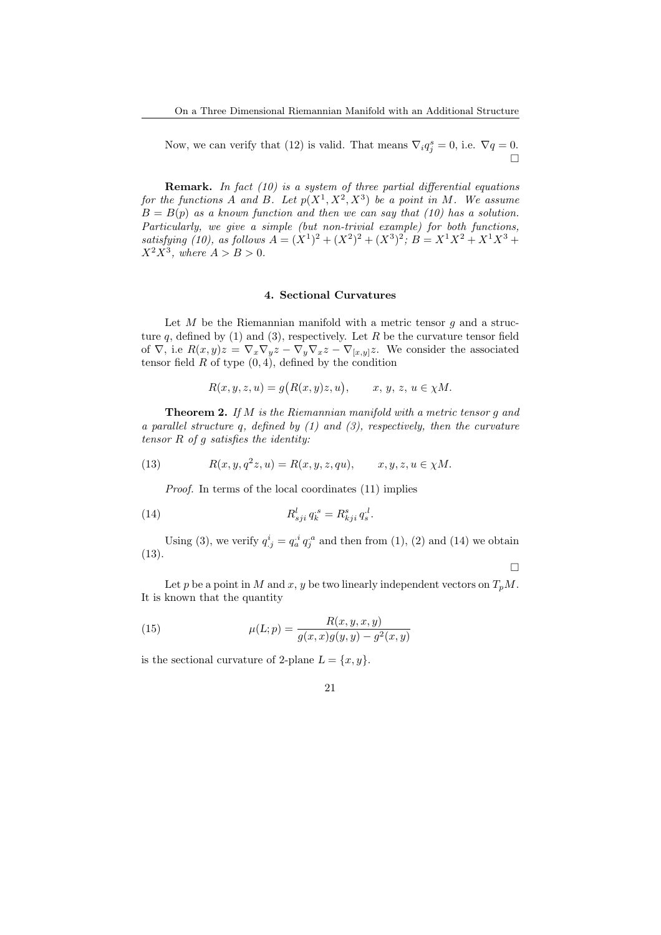Now, we can verify that (12) is valid. That means  $\nabla_i q_j^s = 0$ , i.e.  $\nabla q = 0$ .  $\Box$ 

**Remark.** In fact  $(10)$  is a system of three partial differential equations for the functions A and B. Let  $p(X^1, X^2, X^3)$  be a point in M. We assume  $B = B(p)$  as a known function and then we can say that (10) has a solution. Particularly, we give a simple (but non-trivial example) for both functions, satisfying (10), as follows  $A = (X^1)^2 + (X^2)^2 + (X^3)^2$ ;  $B = X^1 X^2 + X^1 X^3 +$  $X^2X^3$ , where  $A > B > 0$ .

#### 4. Sectional Curvatures

Let  $M$  be the Riemannian manifold with a metric tensor  $g$  and a structure q, defined by (1) and (3), respectively. Let R be the curvature tensor field of  $\nabla$ , i.e  $R(x,y)z = \nabla_x \nabla_y z - \nabla_y \nabla_x z - \nabla_{[x,y]} z$ . We consider the associated tensor field  $R$  of type  $(0, 4)$ , defined by the condition

$$
R(x, y, z, u) = g(R(x, y)z, u), \qquad x, y, z, u \in \chi M.
$$

Theorem 2. If M is the Riemannian manifold with a metric tensor g and a parallel structure q, defined by (1) and (3), respectively, then the curvature tensor  $R$  of  $g$  satisfies the identity:

(13) 
$$
R(x, y, q^2z, u) = R(x, y, z, qu), \qquad x, y, z, u \in \chi M.
$$

Proof. In terms of the local coordinates (11) implies

(14) 
$$
R_{sji}^{l} q_{k}^{s} = R_{kji}^{s} q_{s}^{l}.
$$

Using (3), we verify  $q_{j}^{i} = q_{a}^{i} q_{j}^{a}$  and then from (1), (2) and (14) we obtain (13).

 $\Box$ 

Let p be a point in M and x, y be two linearly independent vectors on  $T_pM$ . It is known that the quantity

(15) 
$$
\mu(L; p) = \frac{R(x, y, x, y)}{g(x, x)g(y, y) - g^2(x, y)}
$$

is the sectional curvature of 2-plane  $L = \{x, y\}.$ 

$$
21\quad
$$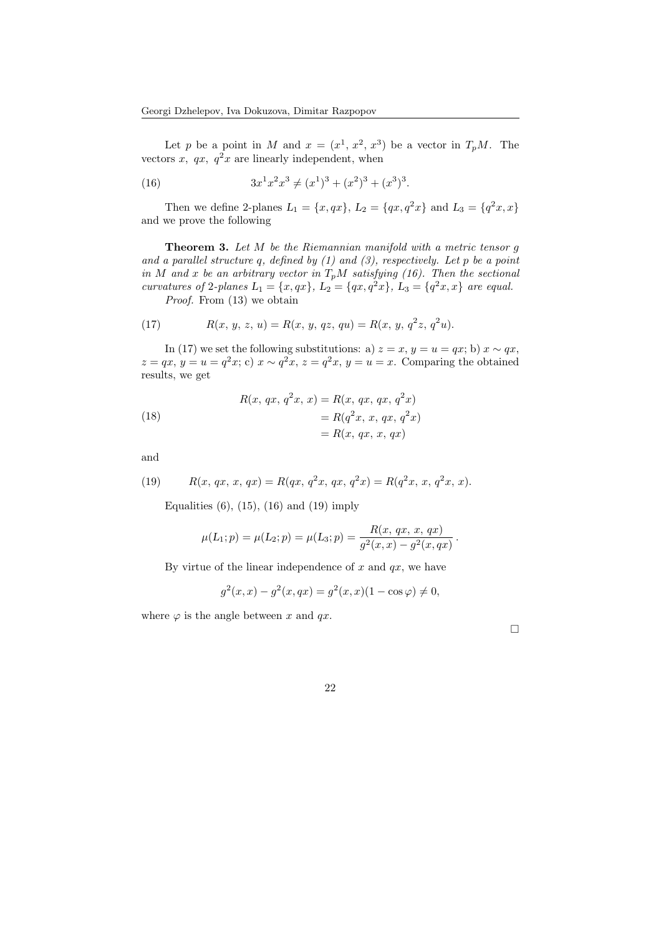Let p be a point in M and  $x = (x^1, x^2, x^3)$  be a vector in  $T_pM$ . The vectors  $x, qx, q^2x$  are linearly independent, when

(16) 
$$
3x^1x^2x^3 \neq (x^1)^3 + (x^2)^3 + (x^3)^3.
$$

Then we define 2-planes  $L_1 = \{x, qx\}$ ,  $L_2 = \{qx, q^2x\}$  and  $L_3 = \{q^2x, x\}$ and we prove the following

**Theorem 3.** Let  $M$  be the Riemannian manifold with a metric tensor  $g$ and a parallel structure q, defined by  $(1)$  and  $(3)$ , respectively. Let p be a point in M and x be an arbitrary vector in  $T_pM$  satisfying (16). Then the sectional curvatures of 2-planes  $L_1 = \{x, qx\}, L_2 = \{qx, q^2x\}, L_3 = \{q^2x, x\}$  are equal. Proof. From  $(13)$  we obtain

(17) 
$$
R(x, y, z, u) = R(x, y, qz, qu) = R(x, y, q^{2}z, q^{2}u).
$$

In (17) we set the following substitutions: a)  $z = x$ ,  $y = u = qx$ ; b)  $x \sim qx$ ,  $z = qx, y = u = q^2x$ ; c)  $x \sim q^2x, z = q^2x, y = u = x$ . Comparing the obtained results, we get

(18)  
\n
$$
R(x, qx, q^{2}x, x) = R(x, qx, qx, q^{2}x)
$$
\n
$$
= R(q^{2}x, x, qx, q^{2}x)
$$
\n
$$
= R(x, qx, x, qx)
$$

and

(19) 
$$
R(x, qx, x, qx) = R(qx, q^{2}x, qx, q^{2}x) = R(q^{2}x, x, q^{2}x, x).
$$

Equalities  $(6)$ ,  $(15)$ ,  $(16)$  and  $(19)$  imply

$$
\mu(L_1; p) = \mu(L_2; p) = \mu(L_3; p) = \frac{R(x, qx, x, qx)}{g^2(x, x) - g^2(x, qx)}.
$$

By virtue of the linear independence of  $x$  and  $qx$ , we have

$$
g^{2}(x, x) - g^{2}(x, qx) = g^{2}(x, x)(1 - \cos \varphi) \neq 0,
$$

where  $\varphi$  is the angle between x and qx.

 $\Box$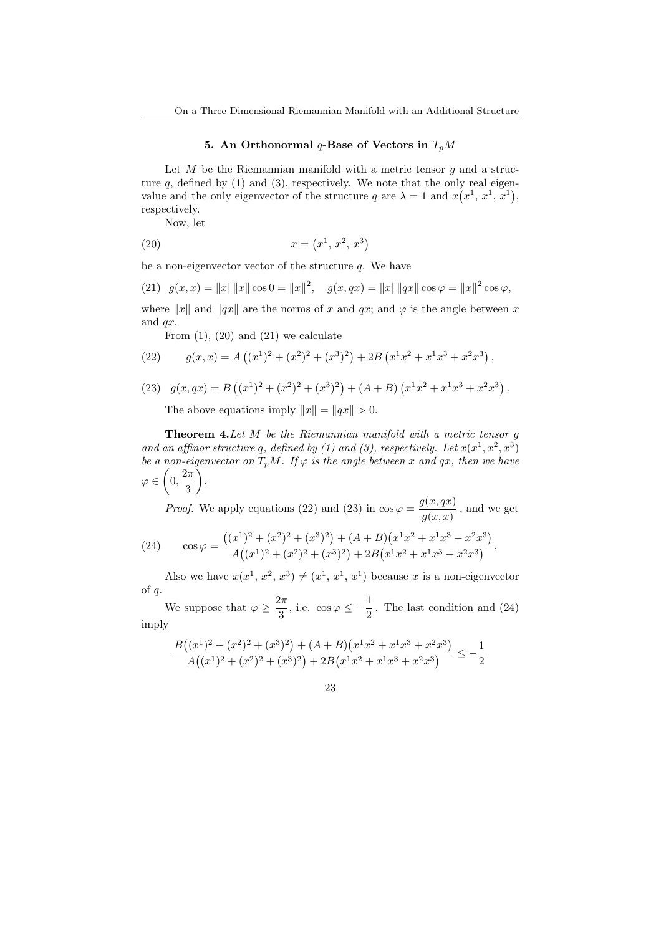### 5. An Orthonormal  $q$ -Base of Vectors in  $T_pM$

Let  $M$  be the Riemannian manifold with a metric tensor  $g$  and a structure  $q$ , defined by (1) and (3), respectively. We note that the only real eigenvalue and the only eigenvector of the structure q are  $\lambda = 1$  and  $x(x^1, x^1, x^1)$ , respectively.

Now, let

(20) 
$$
x = (x^1, x^2, x^3)
$$

be a non-eigenvector vector of the structure  $q$ . We have

(21) 
$$
g(x,x) = ||x|| ||x|| \cos 0 = ||x||^2
$$
,  $g(x,qx) = ||x|| ||qx|| \cos \varphi = ||x||^2 \cos \varphi$ ,

where  $||x||$  and  $||qx||$  are the norms of x and qx; and  $\varphi$  is the angle between x and qx.

From  $(1)$ ,  $(20)$  and  $(21)$  we calculate

(22) 
$$
g(x,x) = A((x^1)^2 + (x^2)^2 + (x^3)^2) + 2B(x^1x^2 + x^1x^3 + x^2x^3),
$$

(23) 
$$
g(x,qx) = B((x^1)^2 + (x^2)^2 + (x^3)^2) + (A+B)(x^1x^2 + x^1x^3 + x^2x^3)
$$
.

The above equations imply  $||x|| = ||qx|| > 0$ .

**Theorem 4.** Let  $M$  be the Riemannian manifold with a metric tensor  $g$ and an affinor structure q, defined by (1) and (3), respectively. Let  $x(x^1, x^2, x^3)$ be a non-eigenvector on  $T_pM$ . If  $\varphi$  is the angle between x and  $qx$ , then we have  $\varphi \in \left(0, \frac{2\pi}{\sigma}\right)$  $\frac{1}{3}$ .

*Proof.* We apply equations (22) and (23) in  $\cos \varphi = \frac{g(x, qx)}{x}$  $\frac{g(x, y, y)}{g(x, x)}$ , and we get

(24) 
$$
\cos \varphi = \frac{((x^1)^2 + (x^2)^2 + (x^3)^2) + (A+B)(x^1x^2 + x^1x^3 + x^2x^3)}{A((x^1)^2 + (x^2)^2 + (x^3)^2) + 2B(x^1x^2 + x^1x^3 + x^2x^3)}.
$$

Also we have  $x(x^1, x^2, x^3) \neq (x^1, x^1, x^1)$  because x is a non-eigenvector of q.

We suppose that  $\varphi \geq \frac{2\pi}{2}$  $\frac{2\pi}{3}$ , i.e.  $\cos \varphi \le -\frac{1}{2}$  $\frac{1}{2}$ . The last condition and (24) imply

$$
\frac{B((x^1)^2 + (x^2)^2 + (x^3)^2) + (A+B)(x^1x^2 + x^1x^3 + x^2x^3)}{A((x^1)^2 + (x^2)^2 + (x^3)^2) + 2B(x^1x^2 + x^1x^3 + x^2x^3)} \le -\frac{1}{2}
$$

$$
23\quad
$$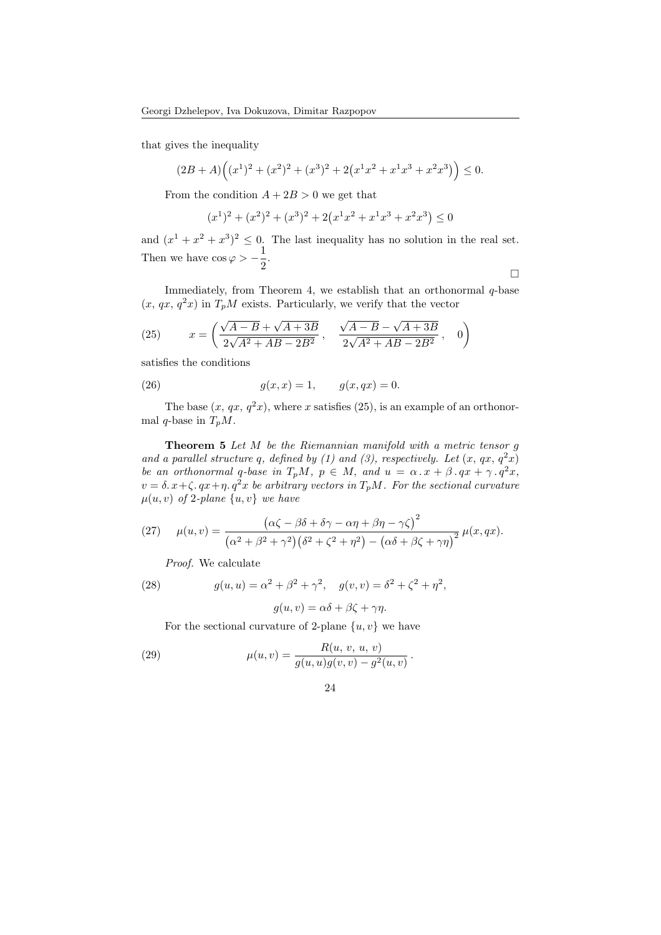that gives the inequality

$$
(2B+A)\Big((x^1)^2+(x^2)^2+(x^3)^2+2\big(x^1x^2+x^1x^3+x^2x^3\big)\Big)\leq 0.
$$

From the condition  $A + 2B > 0$  we get that

$$
(x1)2 + (x2)2 + (x3)2 + 2(x1x2 + x1x3 + x2x3) \le 0
$$

and  $(x^1 + x^2 + x^3)^2 \leq 0$ . The last inequality has no solution in the real set. Then we have  $\cos \varphi > -\frac{1}{2}$  $\frac{1}{2}$ .

Immediately, from Theorem 4, we establish that an orthonormal  $q$ -base  $(x, qx, q<sup>2</sup>x)$  in  $T_pM$  exists. Particularly, we verify that the vector

 $\Box$ 

(25) 
$$
x = \left(\frac{\sqrt{A-B} + \sqrt{A+3B}}{2\sqrt{A^2 + AB - 2B^2}}, \frac{\sqrt{A-B} - \sqrt{A+3B}}{2\sqrt{A^2 + AB - 2B^2}}, 0\right)
$$

satisfies the conditions

(26) 
$$
g(x,x) = 1, \qquad g(x,qx) = 0.
$$

The base  $(x, qx, q^2x)$ , where x satisfies (25), is an example of an orthonormal q-base in  $T_pM$ .

**Theorem 5** Let  $M$  be the Riemannian manifold with a metric tensor  $g$ and a parallel structure q, defined by (1) and (3), respectively. Let  $(x, qx, q^2x)$ be an orthonormal q-base in  $T_pM$ ,  $p \in M$ , and  $u = \alpha \cdot x + \beta \cdot qx + \gamma \cdot q^2x$ ,  $v = \delta x + \zeta$ .  $qx + \eta$ .  $q^2x$  be arbitrary vectors in  $T_pM$ . For the sectional curvature  $\mu(u, v)$  of 2-plane  $\{u, v\}$  we have

(27) 
$$
\mu(u,v) = \frac{(\alpha\zeta - \beta\delta + \delta\gamma - \alpha\eta + \beta\eta - \gamma\zeta)^2}{(\alpha^2 + \beta^2 + \gamma^2)(\delta^2 + \zeta^2 + \eta^2) - (\alpha\delta + \beta\zeta + \gamma\eta)^2} \mu(x,qx).
$$

Proof. We calculate

(28) 
$$
g(u, u) = \alpha^2 + \beta^2 + \gamma^2, \quad g(v, v) = \delta^2 + \zeta^2 + \eta^2,
$$

$$
g(u, v) = \alpha\delta + \beta\zeta + \gamma\eta.
$$

For the sectional curvature of 2-plane  $\{u, v\}$  we have

(29) 
$$
\mu(u,v) = \frac{R(u, v, u, v)}{g(u, u)g(v, v) - g^2(u, v)}
$$

$$
24\quad
$$

.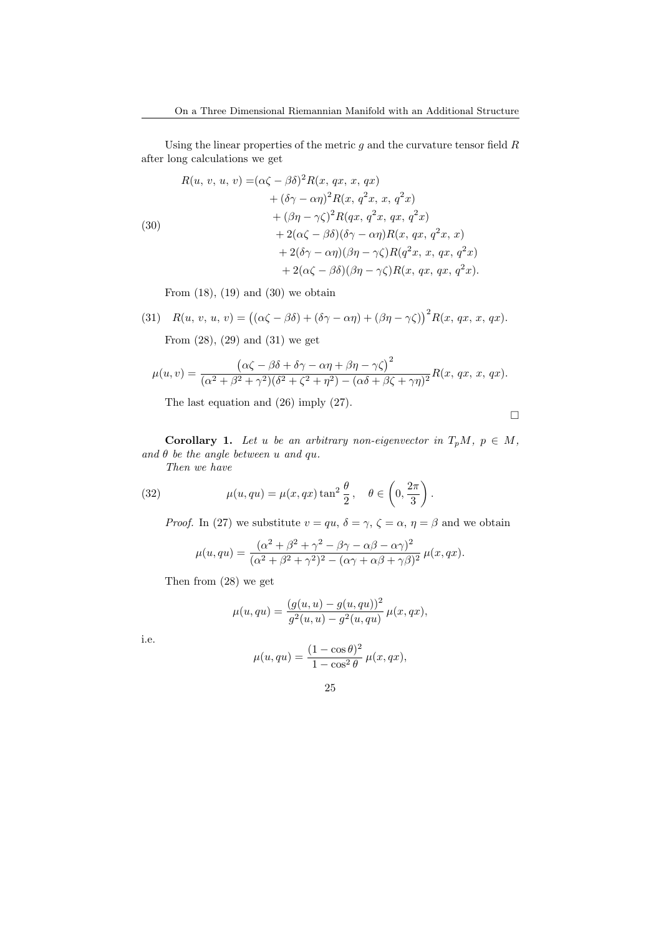Using the linear properties of the metric  $g$  and the curvature tensor field  $R$ after long calculations we get

(30)  
\n
$$
R(u, v, u, v) = (\alpha \zeta - \beta \delta)^2 R(x, qx, x, qx)
$$
\n
$$
+ (\delta \gamma - \alpha \eta)^2 R(x, q^2 x, x, q^2 x)
$$
\n
$$
+ (\beta \eta - \gamma \zeta)^2 R(qx, q^2 x, qx, q^2 x)
$$
\n
$$
+ 2(\alpha \zeta - \beta \delta)(\delta \gamma - \alpha \eta) R(x, qx, q^2 x, x)
$$
\n
$$
+ 2(\delta \gamma - \alpha \eta)(\beta \eta - \gamma \zeta) R(q^2 x, x, qx, q^2 x)
$$
\n
$$
+ 2(\alpha \zeta - \beta \delta)(\beta \eta - \gamma \zeta) R(x, qx, qx, q^2 x).
$$

From  $(18)$ ,  $(19)$  and  $(30)$  we obtain

(31) 
$$
R(u, v, u, v) = ((\alpha \zeta - \beta \delta) + (\delta \gamma - \alpha \eta) + (\beta \eta - \gamma \zeta))^2 R(x, qx, x, qx).
$$

From (28), (29) and (31) we get

$$
\mu(u,v) = \frac{(\alpha\zeta - \beta\delta + \delta\gamma - \alpha\eta + \beta\eta - \gamma\zeta)^2}{(\alpha^2 + \beta^2 + \gamma^2)(\delta^2 + \zeta^2 + \eta^2) - (\alpha\delta + \beta\zeta + \gamma\eta)^2}R(x, qx, x, qx).
$$

The last equation and (26) imply (27).

 $\Box$ 

**Corollary 1.** Let u be an arbitrary non-eigenvector in  $T_pM$ ,  $p \in M$ , and  $\theta$  be the angle between  $u$  and  $qu$ .

Then we have

(32) 
$$
\mu(u, qu) = \mu(x, qx) \tan^2 \frac{\theta}{2}, \quad \theta \in \left(0, \frac{2\pi}{3}\right).
$$

*Proof.* In (27) we substitute  $v = qu$ ,  $\delta = \gamma$ ,  $\zeta = \alpha$ ,  $\eta = \beta$  and we obtain

$$
\mu(u, qu) = \frac{(\alpha^2 + \beta^2 + \gamma^2 - \beta\gamma - \alpha\beta - \alpha\gamma)^2}{(\alpha^2 + \beta^2 + \gamma^2)^2 - (\alpha\gamma + \alpha\beta + \gamma\beta)^2} \mu(x, qx).
$$

Then from (28) we get

$$
\mu(u, qu) = \frac{(g(u, u) - g(u, qu))^2}{g^2(u, u) - g^2(u, qu)} \mu(x, qx),
$$

i.e.

$$
\mu(u, qu) = \frac{(1 - \cos \theta)^2}{1 - \cos^2 \theta} \mu(x, qx),
$$

$$
25\,
$$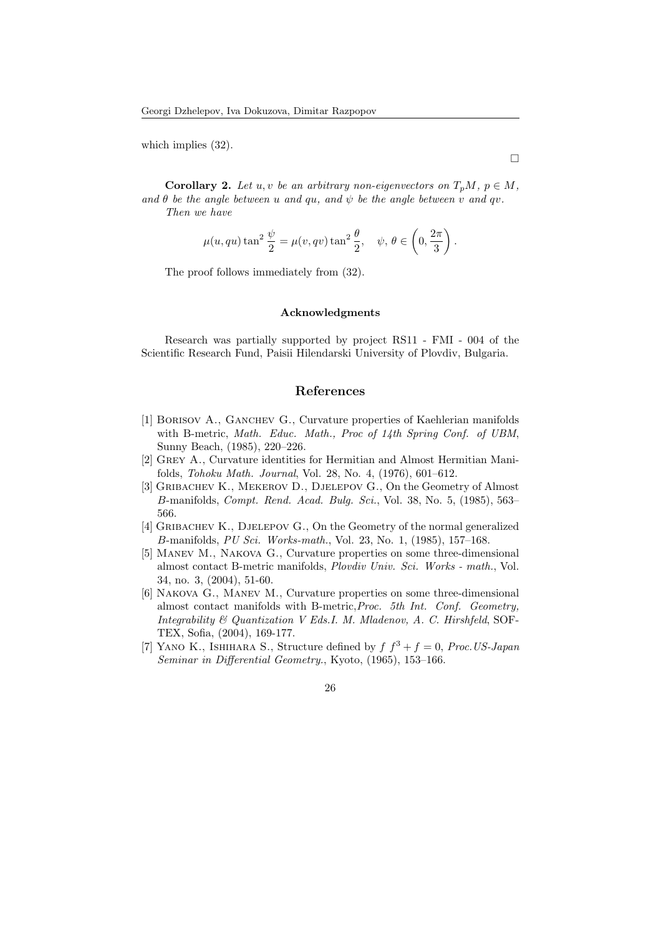which implies  $(32)$ .

**Corollary 2.** Let u, v be an arbitrary non-eigenvectors on  $T_pM$ ,  $p \in M$ , and  $\theta$  be the angle between u and qu, and  $\psi$  be the angle between v and qv. Then we have

 $\Box$ 

$$
\mu(u, qu) \tan^2 \frac{\psi}{2} = \mu(v, qv) \tan^2 \frac{\theta}{2}, \quad \psi, \theta \in \left(0, \frac{2\pi}{3}\right).
$$

The proof follows immediately from (32).

#### Acknowledgments

Research was partially supported by project RS11 - FMI - 004 of the Scientific Research Fund, Paisii Hilendarski University of Plovdiv, Bulgaria.

## References

- [1] Borisov A., Ganchev G., Curvature properties of Kaehlerian manifolds with B-metric, Math. Educ. Math., Proc of 14th Spring Conf. of UBM, Sunny Beach, (1985), 220–226.
- [2] Grey A., Curvature identities for Hermitian and Almost Hermitian Manifolds, Tohoku Math. Journal, Vol. 28, No. 4, (1976), 601–612.
- [3] Gribachev K., Mekerov D., Djelepov G., On the Geometry of Almost B-manifolds, Compt. Rend. Acad. Bulg. Sci., Vol. 38, No. 5, (1985), 563– 566.
- [4] Gribachev K., Djelepov G., On the Geometry of the normal generalized B-manifolds, PU Sci. Works-math., Vol. 23, No. 1, (1985), 157–168.
- [5] Manev M., Nakova G., Curvature properties on some three-dimensional almost contact B-metric manifolds, Plovdiv Univ. Sci. Works - math., Vol. 34, no. 3, (2004), 51-60.
- [6] Nakova G., Manev M., Curvature properties on some three-dimensional almost contact manifolds with B-metric,Proc. 5th Int. Conf. Geometry, Integrability & Quantization V Eds.I. M. Mladenov, A. C. Hirshfeld, SOF-TEX, Sofia, (2004), 169-177.
- [7] YANO K., ISHIHARA S., Structure defined by  $f f^3 + f = 0$ , Proc. US-Japan Seminar in Differential Geometry., Kyoto, (1965), 153–166.